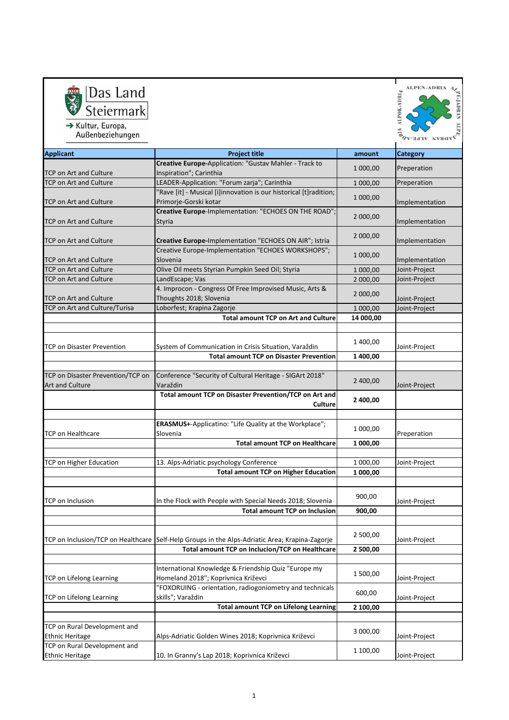

Ţ ALPEN-ADRIA AVA **MACK-MORTY** 

| AUDCHUCZICHUNGCH                                                                               |                                                                                            |           | <b>VORAN ALPE-AD</b> |
|------------------------------------------------------------------------------------------------|--------------------------------------------------------------------------------------------|-----------|----------------------|
| <b>Applicant</b>                                                                               | <b>Project title</b>                                                                       | amount    | Category             |
|                                                                                                | Creative Europe-Application: "Gustav Mahler - Track to                                     | 1 000,00  | Preperation          |
| <b>TCP on Art and Culture</b>                                                                  | Inspiration"; Carinthia                                                                    |           |                      |
| <b>TCP on Art and Culture</b>                                                                  | LEADER-Application: "Forum zarja"; Carinthia                                               | 1 000,00  | Preperation          |
| TCP on Art and Culture                                                                         | "Rave [it] - Musical [i]innovation is our historical [t]radition;<br>Primorje-Gorski kotar | 1 000,00  | Implementation       |
| <b>TCP on Art and Culture</b>                                                                  | Creative Europe-Implementation: "ECHOES ON THE ROAD";<br>Styria                            | 2 000,00  | Implementation       |
| <b>TCP on Art and Culture</b>                                                                  | Creative Europe-Implementation "ECHOES ON AIR"; Istria                                     | 2 000,00  | Implementation       |
| <b>TCP on Art and Culture</b>                                                                  | Creative Europe-Implementation "ECHOES WORKSHOPS";<br>Slovenia                             | 1 000,00  | Implementation       |
| <b>TCP on Art and Culture</b>                                                                  | Olive Oil meets Styrian Pumpkin Seed Oil; Styria                                           | 1 000,00  | Joint-Project        |
| <b>TCP on Art and Culture</b>                                                                  | LandEscape; Vas                                                                            | 2 000,00  | Joint-Project        |
| <b>TCP on Art and Culture</b>                                                                  | 4. Improcon - Congress Of Free Improvised Music, Arts &<br>Thoughts 2018; Slovenia         | 2 000,00  | Joint-Project        |
| TCP on Art and Culture/Turisa                                                                  | Loborfest; Krapina Zagorje                                                                 | 1 000,00  | Joint-Project        |
|                                                                                                | <b>Total amount TCP on Art and Culture</b>                                                 | 14 000,00 |                      |
|                                                                                                |                                                                                            |           |                      |
| <b>TCP on Disaster Prevention</b>                                                              | System of Communication in Crisis Situation, Varaždin                                      | 1 400,00  | Joint-Project        |
|                                                                                                | <b>Total amount TCP on Disaster Prevention</b>                                             | 1 400,00  |                      |
|                                                                                                |                                                                                            |           |                      |
| TCP on Disaster Prevention/TCP on<br><b>Art and Culture</b>                                    | Conference "Security of Cultural Heritage - SIGArt 2018"<br>Varaždin                       | 2 400,00  | Joint-Project        |
|                                                                                                | Total amount TCP on Disaster Prevention/TCP on Art and<br><b>Culture</b>                   | 2 400,00  |                      |
|                                                                                                | ERASMUS+-Applicatino: "Life Quality at the Workplace";                                     |           |                      |
| <b>TCP on Healthcare</b>                                                                       | Slovenia                                                                                   | 1 000,00  | Preperation          |
|                                                                                                | <b>Total amount TCP on Healthcare</b>                                                      | 1 000,00  |                      |
|                                                                                                |                                                                                            |           |                      |
| TCP on Higher Education                                                                        | 13. Alps-Adriatic psychology Conference                                                    | 1 000,00  | Joint-Project        |
|                                                                                                | <b>Total amount TCP on Higher Education</b>                                                | 1 000,00  |                      |
| TCP on Inclusion                                                                               |                                                                                            | 900,00    |                      |
|                                                                                                | In the Flock with People with Special Needs 2018; Slovenia                                 |           | Joint-Project        |
|                                                                                                | <b>Total amount TCP on Inclusion</b>                                                       | 900,00    |                      |
| TCP on Inclusion/TCP on Healthcare Self-Help Groups in the Alps-Adriatic Area; Krapina-Zagorje |                                                                                            | 2 500,00  | Joint-Project        |
|                                                                                                | <b>Total amount TCP on Inclucion/TCP on Healthcare</b>                                     | 2 500,00  |                      |
|                                                                                                |                                                                                            |           |                      |
|                                                                                                | International Knowledge & Friendship Quiz "Europe my                                       |           |                      |
| <b>TCP on Lifelong Learning</b>                                                                | Homeland 2018"; Koprivnica Križevci                                                        | 1 500,00  | Joint-Project        |
|                                                                                                | "FOXORUING - orientation, radiogoniometry and technicals                                   | 600,00    |                      |
| TCP on Lifelong Learning                                                                       | skills"; Varaždin                                                                          |           | Joint-Project        |
|                                                                                                | <b>Total amount TCP on Lifelong Learning</b>                                               | 2 100,00  |                      |
| TCP on Rural Development and                                                                   |                                                                                            |           |                      |
| <b>Ethnic Heritage</b>                                                                         | Alps-Adriatic Golden Wines 2018; Koprivnica Križevci                                       | 3 000,00  | Joint-Project        |
| TCP on Rural Development and                                                                   |                                                                                            | 1 100,00  |                      |
| <b>Ethnic Heritage</b>                                                                         | 10. In Granny's Lap 2018; Koprivnica Križevci                                              |           | Joint-Project        |